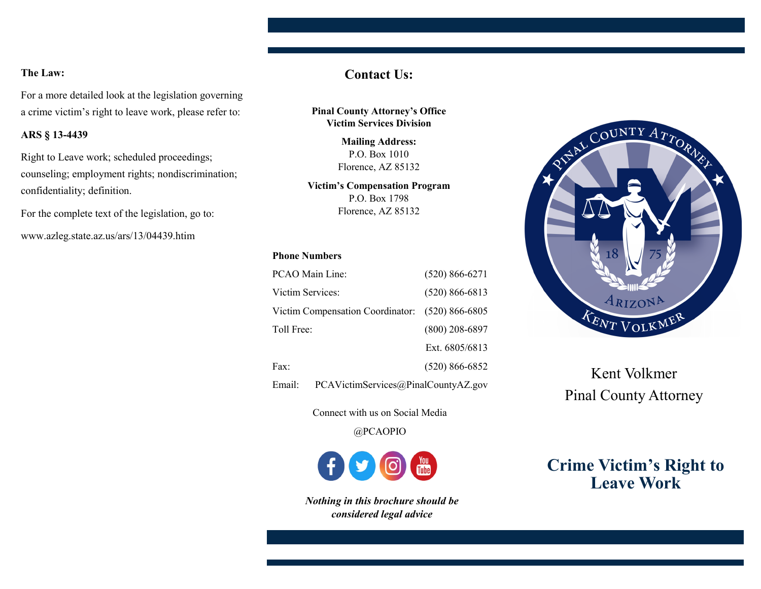# **The Law:**

For a more detailed look at the legislation governing a crime victim's right to leave work, please refer to:

## **ARS § 13-4439**

Right to Leave work; scheduled proceedings; counseling; employment rights; nondiscrimination; confidentiality; definition.

For the complete text of the legislation, go to:

www.azleg.state.az.us/ars/13/04439.htim

# **Contact Us:**

**Pinal County Attorney's Office Victim Services Division**

> **Mailing Address:**  P.O. Box 1010 Florence, AZ 85132

**Victim's Compensation Program**  P.O. Box 1798 Florence, AZ 85132

## **Phone Numbers**

| PCAO Main Line:                               | $(520) 866 - 6271$ |
|-----------------------------------------------|--------------------|
| Victim Services:                              | $(520) 866 - 6813$ |
| Victim Compensation Coordinator:              | $(520) 866 - 6805$ |
| Toll Free:                                    | $(800)$ 208-6897   |
|                                               | Ext. 6805/6813     |
| Fax:                                          | $(520) 866 - 6852$ |
| PCAVictimServices@PinalCountyAZ.gov<br>Email: |                    |

Connect with us on Social Media

@PCAOPIO

*Nothing in this brochure should be considered legal advice*



Kent Volkmer Pinal County Attorney